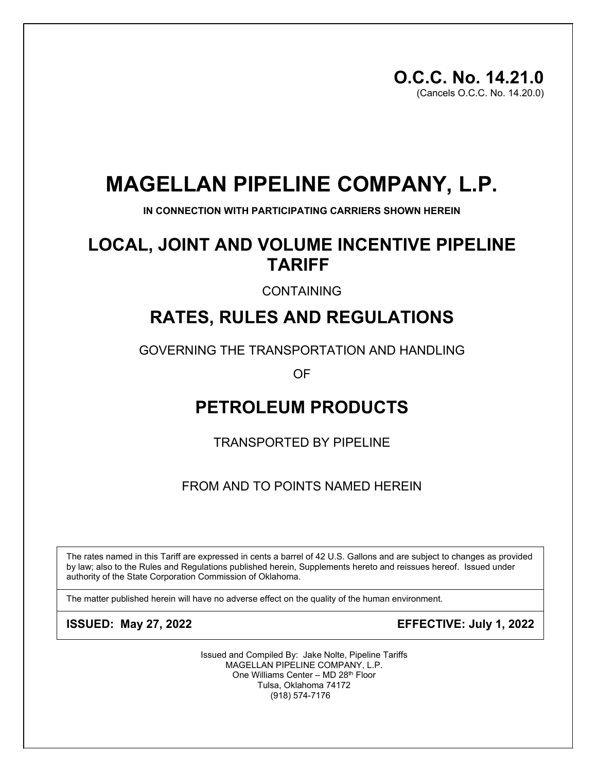# **MAGELLAN PIPELINE COMPANY, L.P.**

**IN CONNECTION WITH PARTICIPATING CARRIERS SHOWN HEREIN**

# **LOCAL, JOINT AND VOLUME INCENTIVE PIPELINE TARIFF**

CONTAINING

# **RATES, RULES AND REGULATIONS**

GOVERNING THE TRANSPORTATION AND HANDLING

OF

# **PETROLEUM PRODUCTS**

TRANSPORTED BY PIPELINE

FROM AND TO POINTS NAMED HEREIN

The rates named in this Tariff are expressed in cents a barrel of 42 U.S. Gallons and are subject to changes as provided by law; also to the Rules and Regulations published herein, Supplements hereto and reissues hereof. Issued under authority of the State Corporation Commission of Oklahoma.

The matter published herein will have no adverse effect on the quality of the human environment.

**ISSUED: May 27, 2022 EFFECTIVE: July 1, 2022**

Issued and Compiled By: Jake Nolte, Pipeline Tariffs MAGELLAN PIPELINE COMPANY, L.P. One Williams Center – MD 28th Floor Tulsa, Oklahoma 74172 (918) 574-7176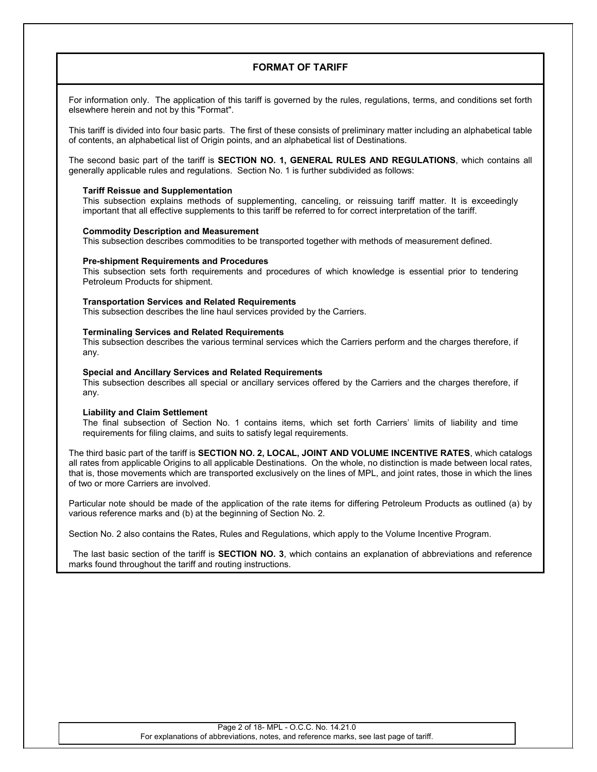## **FORMAT OF TARIFF**

For information only. The application of this tariff is governed by the rules, regulations, terms, and conditions set forth elsewhere herein and not by this "Format".

This tariff is divided into four basic parts. The first of these consists of preliminary matter including an alphabetical table of contents, an alphabetical list of Origin points, and an alphabetical list of Destinations.

The second basic part of the tariff is **SECTION NO. 1, GENERAL RULES AND REGULATIONS**, which contains all generally applicable rules and regulations. Section No. 1 is further subdivided as follows:

## **Tariff Reissue and Supplementation**

This subsection explains methods of supplementing, canceling, or reissuing tariff matter. It is exceedingly important that all effective supplements to this tariff be referred to for correct interpretation of the tariff.

## **Commodity Description and Measurement**

This subsection describes commodities to be transported together with methods of measurement defined.

#### **Pre-shipment Requirements and Procedures**

This subsection sets forth requirements and procedures of which knowledge is essential prior to tendering Petroleum Products for shipment.

#### **Transportation Services and Related Requirements**

This subsection describes the line haul services provided by the Carriers.

#### **Terminaling Services and Related Requirements**

This subsection describes the various terminal services which the Carriers perform and the charges therefore, if any.

#### **Special and Ancillary Services and Related Requirements**

This subsection describes all special or ancillary services offered by the Carriers and the charges therefore, if any.

#### **Liability and Claim Settlement**

The final subsection of Section No. 1 contains items, which set forth Carriers' limits of liability and time requirements for filing claims, and suits to satisfy legal requirements.

The third basic part of the tariff is **SECTION NO. 2, LOCAL, JOINT AND VOLUME INCENTIVE RATES**, which catalogs all rates from applicable Origins to all applicable Destinations. On the whole, no distinction is made between local rates, that is, those movements which are transported exclusively on the lines of MPL, and joint rates, those in which the lines of two or more Carriers are involved.

Particular note should be made of the application of the rate items for differing Petroleum Products as outlined (a) by various reference marks and (b) at the beginning of Section No. 2.

Section No. 2 also contains the Rates, Rules and Regulations, which apply to the Volume Incentive Program.

The last basic section of the tariff is **SECTION NO. 3**, which contains an explanation of abbreviations and reference marks found throughout the tariff and routing instructions.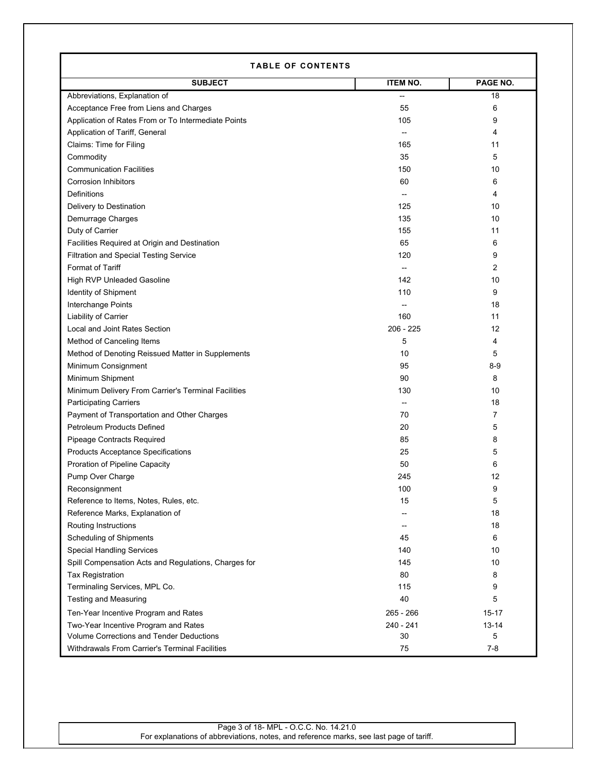| <b>TABLE OF CONTENTS</b>                             |                 |           |  |
|------------------------------------------------------|-----------------|-----------|--|
| <b>SUBJECT</b>                                       | <b>ITEM NO.</b> | PAGE NO.  |  |
| Abbreviations, Explanation of                        |                 | 18        |  |
| Acceptance Free from Liens and Charges               | 55              | 6         |  |
| Application of Rates From or To Intermediate Points  | 105             | 9         |  |
| Application of Tariff, General                       |                 | 4         |  |
| Claims: Time for Filing                              | 165             | 11        |  |
| Commodity                                            | 35              | 5         |  |
| <b>Communication Facilities</b>                      | 150             | 10        |  |
| <b>Corrosion Inhibitors</b>                          | 60              | 6         |  |
| <b>Definitions</b>                                   | $\overline{a}$  | 4         |  |
| Delivery to Destination                              | 125             | 10        |  |
| Demurrage Charges                                    | 135             | 10        |  |
| Duty of Carrier                                      | 155             | 11        |  |
| Facilities Required at Origin and Destination        | 65              | 6         |  |
| <b>Filtration and Special Testing Service</b>        | 120             | 9         |  |
| <b>Format of Tariff</b>                              | $\overline{a}$  | 2         |  |
| High RVP Unleaded Gasoline                           | 142             | 10        |  |
| Identity of Shipment                                 | 110             | 9         |  |
| Interchange Points                                   |                 | 18        |  |
| <b>Liability of Carrier</b>                          | 160             | 11        |  |
| Local and Joint Rates Section                        | $206 - 225$     | 12        |  |
| Method of Canceling Items                            | 5               | 4         |  |
| Method of Denoting Reissued Matter in Supplements    | 10              | 5         |  |
| Minimum Consignment                                  | 95              | $8-9$     |  |
| Minimum Shipment                                     | 90              | 8         |  |
| Minimum Delivery From Carrier's Terminal Facilities  | 130             | 10        |  |
| <b>Participating Carriers</b>                        | --              | 18        |  |
| Payment of Transportation and Other Charges          | 70              | 7         |  |
| Petroleum Products Defined                           | 20              | 5         |  |
| Pipeage Contracts Required                           | 85              | 8         |  |
| <b>Products Acceptance Specifications</b>            | 25              | 5         |  |
| <b>Proration of Pipeline Capacity</b>                | 50              | 6         |  |
| Pump Over Charge                                     | 245             | 12        |  |
| Reconsignment                                        | 100             | 9         |  |
| Reference to Items, Notes, Rules, etc.               | 15              | 5         |  |
| Reference Marks, Explanation of                      | --              | 18        |  |
| Routing Instructions                                 | --              | 18        |  |
| <b>Scheduling of Shipments</b>                       | 45              | 6         |  |
| <b>Special Handling Services</b>                     | 140             | 10        |  |
| Spill Compensation Acts and Regulations, Charges for | 145             | 10        |  |
| Tax Registration                                     | 80              | 8         |  |
| Terminaling Services, MPL Co.                        | 115             | 9         |  |
| <b>Testing and Measuring</b>                         | 40              | 5         |  |
| Ten-Year Incentive Program and Rates                 | 265 - 266       | 15-17     |  |
| Two-Year Incentive Program and Rates                 | 240 - 241       | $13 - 14$ |  |
| Volume Corrections and Tender Deductions             | 30              | 5         |  |
| Withdrawals From Carrier's Terminal Facilities       | 75              | $7 - 8$   |  |

Г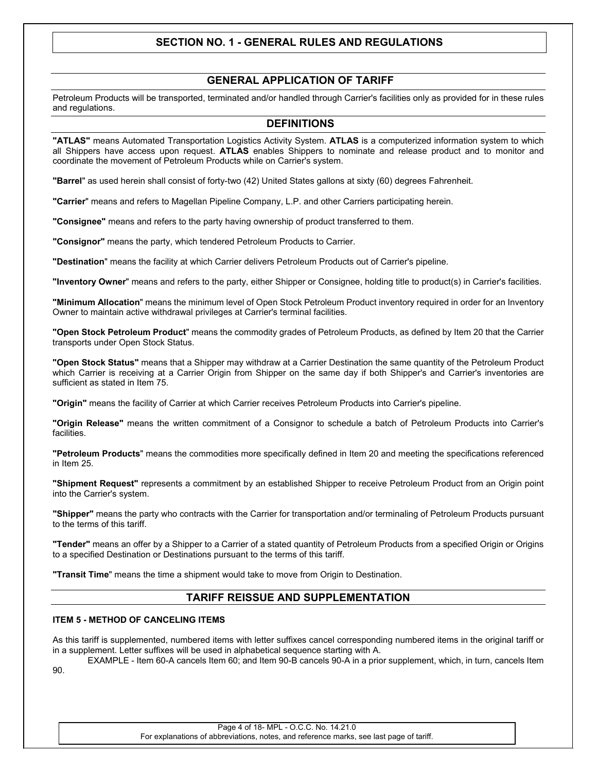# **SECTION NO. 1 - GENERAL RULES AND REGULATIONS**

## **GENERAL APPLICATION OF TARIFF**

Petroleum Products will be transported, terminated and/or handled through Carrier's facilities only as provided for in these rules and regulations.

## **DEFINITIONS**

**"ATLAS"** means Automated Transportation Logistics Activity System. **ATLAS** is a computerized information system to which all Shippers have access upon request. **ATLAS** enables Shippers to nominate and release product and to monitor and coordinate the movement of Petroleum Products while on Carrier's system.

**"Barrel**" as used herein shall consist of forty-two (42) United States gallons at sixty (60) degrees Fahrenheit.

**"Carrier**" means and refers to Magellan Pipeline Company, L.P. and other Carriers participating herein.

**"Consignee"** means and refers to the party having ownership of product transferred to them.

**"Consignor"** means the party, which tendered Petroleum Products to Carrier.

**"Destination**" means the facility at which Carrier delivers Petroleum Products out of Carrier's pipeline.

**"Inventory Owner**" means and refers to the party, either Shipper or Consignee, holding title to product(s) in Carrier's facilities.

**"Minimum Allocation**" means the minimum level of Open Stock Petroleum Product inventory required in order for an Inventory Owner to maintain active withdrawal privileges at Carrier's terminal facilities.

**"Open Stock Petroleum Product**" means the commodity grades of Petroleum Products, as defined by Item 20 that the Carrier transports under Open Stock Status.

**"Open Stock Status"** means that a Shipper may withdraw at a Carrier Destination the same quantity of the Petroleum Product which Carrier is receiving at a Carrier Origin from Shipper on the same day if both Shipper's and Carrier's inventories are sufficient as stated in Item 75.

**"Origin"** means the facility of Carrier at which Carrier receives Petroleum Products into Carrier's pipeline.

**"Origin Release"** means the written commitment of a Consignor to schedule a batch of Petroleum Products into Carrier's facilities.

**"Petroleum Products**" means the commodities more specifically defined in Item 20 and meeting the specifications referenced in Item 25.

**"Shipment Request"** represents a commitment by an established Shipper to receive Petroleum Product from an Origin point into the Carrier's system.

**"Shipper"** means the party who contracts with the Carrier for transportation and/or terminaling of Petroleum Products pursuant to the terms of this tariff.

**"Tender"** means an offer by a Shipper to a Carrier of a stated quantity of Petroleum Products from a specified Origin or Origins to a specified Destination or Destinations pursuant to the terms of this tariff.

**"Transit Time**" means the time a shipment would take to move from Origin to Destination.

## **TARIFF REISSUE AND SUPPLEMENTATION**

#### **ITEM 5 - METHOD OF CANCELING ITEMS**

As this tariff is supplemented, numbered items with letter suffixes cancel corresponding numbered items in the original tariff or in a supplement. Letter suffixes will be used in alphabetical sequence starting with A.

EXAMPLE - Item 60-A cancels Item 60; and Item 90-B cancels 90-A in a prior supplement, which, in turn, cancels Item 90.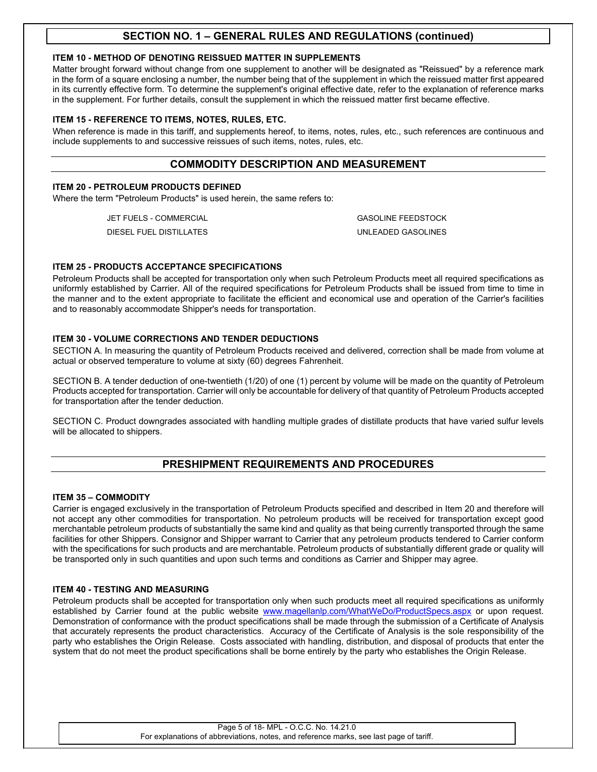## **ITEM 10 - METHOD OF DENOTING REISSUED MATTER IN SUPPLEMENTS**

Matter brought forward without change from one supplement to another will be designated as "Reissued" by a reference mark in the form of a square enclosing a number, the number being that of the supplement in which the reissued matter first appeared in its currently effective form. To determine the supplement's original effective date, refer to the explanation of reference marks in the supplement. For further details, consult the supplement in which the reissued matter first became effective.

## **ITEM 15 - REFERENCE TO ITEMS, NOTES, RULES, ETC.**

When reference is made in this tariff, and supplements hereof, to items, notes, rules, etc., such references are continuous and include supplements to and successive reissues of such items, notes, rules, etc.

## **COMMODITY DESCRIPTION AND MEASUREMENT**

## **ITEM 20 - PETROLEUM PRODUCTS DEFINED**

Where the term "Petroleum Products" is used herein, the same refers to:

JET FUELS - COMMERCIAL GASOLINE FEEDSTOCK

DIESEL FUEL DISTILLATES UNLEADED GASOLINES

## **ITEM 25 - PRODUCTS ACCEPTANCE SPECIFICATIONS**

Petroleum Products shall be accepted for transportation only when such Petroleum Products meet all required specifications as uniformly established by Carrier. All of the required specifications for Petroleum Products shall be issued from time to time in the manner and to the extent appropriate to facilitate the efficient and economical use and operation of the Carrier's facilities and to reasonably accommodate Shipper's needs for transportation.

## **ITEM 30 - VOLUME CORRECTIONS AND TENDER DEDUCTIONS**

SECTION A. In measuring the quantity of Petroleum Products received and delivered, correction shall be made from volume at actual or observed temperature to volume at sixty (60) degrees Fahrenheit.

SECTION B. A tender deduction of one-twentieth (1/20) of one (1) percent by volume will be made on the quantity of Petroleum Products accepted for transportation. Carrier will only be accountable for delivery of that quantity of Petroleum Products accepted for transportation after the tender deduction.

SECTION C. Product downgrades associated with handling multiple grades of distillate products that have varied sulfur levels will be allocated to shippers.

# **PRESHIPMENT REQUIREMENTS AND PROCEDURES**

## **ITEM 35 – COMMODITY**

Carrier is engaged exclusively in the transportation of Petroleum Products specified and described in Item 20 and therefore will not accept any other commodities for transportation. No petroleum products will be received for transportation except good merchantable petroleum products of substantially the same kind and quality as that being currently transported through the same facilities for other Shippers. Consignor and Shipper warrant to Carrier that any petroleum products tendered to Carrier conform with the specifications for such products and are merchantable. Petroleum products of substantially different grade or quality will be transported only in such quantities and upon such terms and conditions as Carrier and Shipper may agree.

## **ITEM 40 - TESTING AND MEASURING**

Petroleum products shall be accepted for transportation only when such products meet all required specifications as uniformly established by Carrier found at the public website [www.magellanlp.com/WhatWeDo/ProductSpecs.aspx](http://www.magellanlp.com/WhatWeDo/ProductSpecs.asp) or upon request. Demonstration of conformance with the product specifications shall be made through the submission of a Certificate of Analysis that accurately represents the product characteristics. Accuracy of the Certificate of Analysis is the sole responsibility of the party who establishes the Origin Release. Costs associated with handling, distribution, and disposal of products that enter the system that do not meet the product specifications shall be borne entirely by the party who establishes the Origin Release.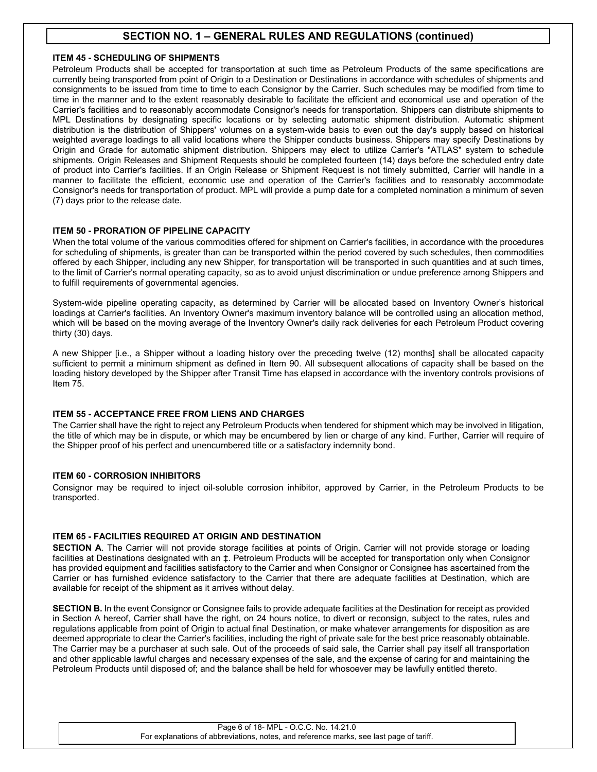## **ITEM 45 - SCHEDULING OF SHIPMENTS**

Petroleum Products shall be accepted for transportation at such time as Petroleum Products of the same specifications are currently being transported from point of Origin to a Destination or Destinations in accordance with schedules of shipments and consignments to be issued from time to time to each Consignor by the Carrier. Such schedules may be modified from time to time in the manner and to the extent reasonably desirable to facilitate the efficient and economical use and operation of the Carrier's facilities and to reasonably accommodate Consignor's needs for transportation. Shippers can distribute shipments to MPL Destinations by designating specific locations or by selecting automatic shipment distribution. Automatic shipment distribution is the distribution of Shippers' volumes on a system-wide basis to even out the day's supply based on historical weighted average loadings to all valid locations where the Shipper conducts business. Shippers may specify Destinations by Origin and Grade for automatic shipment distribution. Shippers may elect to utilize Carrier's "ATLAS" system to schedule shipments. Origin Releases and Shipment Requests should be completed fourteen (14) days before the scheduled entry date of product into Carrier's facilities. If an Origin Release or Shipment Request is not timely submitted, Carrier will handle in a manner to facilitate the efficient, economic use and operation of the Carrier's facilities and to reasonably accommodate Consignor's needs for transportation of product. MPL will provide a pump date for a completed nomination a minimum of seven (7) days prior to the release date.

## **ITEM 50 - PRORATION OF PIPELINE CAPACITY**

When the total volume of the various commodities offered for shipment on Carrier's facilities, in accordance with the procedures for scheduling of shipments, is greater than can be transported within the period covered by such schedules, then commodities offered by each Shipper, including any new Shipper, for transportation will be transported in such quantities and at such times, to the limit of Carrier's normal operating capacity, so as to avoid unjust discrimination or undue preference among Shippers and to fulfill requirements of governmental agencies.

System-wide pipeline operating capacity, as determined by Carrier will be allocated based on Inventory Owner's historical loadings at Carrier's facilities. An Inventory Owner's maximum inventory balance will be controlled using an allocation method, which will be based on the moving average of the Inventory Owner's daily rack deliveries for each Petroleum Product covering thirty (30) days.

A new Shipper [i.e., a Shipper without a loading history over the preceding twelve (12) months] shall be allocated capacity sufficient to permit a minimum shipment as defined in Item 90. All subsequent allocations of capacity shall be based on the loading history developed by the Shipper after Transit Time has elapsed in accordance with the inventory controls provisions of Item 75.

## **ITEM 55 - ACCEPTANCE FREE FROM LIENS AND CHARGES**

The Carrier shall have the right to reject any Petroleum Products when tendered for shipment which may be involved in litigation, the title of which may be in dispute, or which may be encumbered by lien or charge of any kind. Further, Carrier will require of the Shipper proof of his perfect and unencumbered title or a satisfactory indemnity bond.

## **ITEM 60 - CORROSION INHIBITORS**

Consignor may be required to inject oil-soluble corrosion inhibitor, approved by Carrier, in the Petroleum Products to be transported.

## **ITEM 65 - FACILITIES REQUIRED AT ORIGIN AND DESTINATION**

**SECTION A**. The Carrier will not provide storage facilities at points of Origin. Carrier will not provide storage or loading facilities at Destinations designated with an ‡. Petroleum Products will be accepted for transportation only when Consignor has provided equipment and facilities satisfactory to the Carrier and when Consignor or Consignee has ascertained from the Carrier or has furnished evidence satisfactory to the Carrier that there are adequate facilities at Destination, which are available for receipt of the shipment as it arrives without delay.

**SECTION B.** In the event Consignor or Consignee fails to provide adequate facilities at the Destination for receipt as provided in Section A hereof, Carrier shall have the right, on 24 hours notice, to divert or reconsign, subject to the rates, rules and regulations applicable from point of Origin to actual final Destination, or make whatever arrangements for disposition as are deemed appropriate to clear the Carrier's facilities, including the right of private sale for the best price reasonably obtainable. The Carrier may be a purchaser at such sale. Out of the proceeds of said sale, the Carrier shall pay itself all transportation and other applicable lawful charges and necessary expenses of the sale, and the expense of caring for and maintaining the Petroleum Products until disposed of; and the balance shall be held for whosoever may be lawfully entitled thereto.

#### Page 6 of 18- MPL - O.C.C. No. 14.21.0 For explanations of abbreviations, notes, and reference marks, see last page of tariff.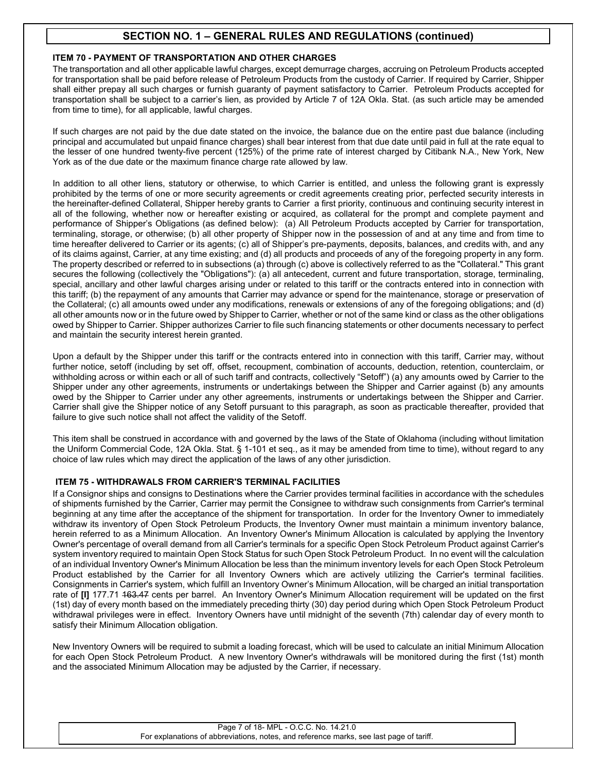## **ITEM 70 - PAYMENT OF TRANSPORTATION AND OTHER CHARGES**

The transportation and all other applicable lawful charges, except demurrage charges, accruing on Petroleum Products accepted for transportation shall be paid before release of Petroleum Products from the custody of Carrier. If required by Carrier, Shipper shall either prepay all such charges or furnish guaranty of payment satisfactory to Carrier. Petroleum Products accepted for transportation shall be subject to a carrier's lien, as provided by Article 7 of 12A Okla. Stat. (as such article may be amended from time to time), for all applicable, lawful charges.

If such charges are not paid by the due date stated on the invoice, the balance due on the entire past due balance (including principal and accumulated but unpaid finance charges) shall bear interest from that due date until paid in full at the rate equal to the lesser of one hundred twenty-five percent (125%) of the prime rate of interest charged by Citibank N.A., New York, New York as of the due date or the maximum finance charge rate allowed by law.

In addition to all other liens, statutory or otherwise, to which Carrier is entitled, and unless the following grant is expressly prohibited by the terms of one or more security agreements or credit agreements creating prior, perfected security interests in the hereinafter-defined Collateral, Shipper hereby grants to Carrier a first priority, continuous and continuing security interest in all of the following, whether now or hereafter existing or acquired, as collateral for the prompt and complete payment and performance of Shipper's Obligations (as defined below): (a) All Petroleum Products accepted by Carrier for transportation, terminaling, storage, or otherwise; (b) all other property of Shipper now in the possession of and at any time and from time to time hereafter delivered to Carrier or its agents; (c) all of Shipper's pre-payments, deposits, balances, and credits with, and any of its claims against, Carrier, at any time existing; and (d) all products and proceeds of any of the foregoing property in any form. The property described or referred to in subsections (a) through (c) above is collectively referred to as the "Collateral." This grant secures the following (collectively the "Obligations"): (a) all antecedent, current and future transportation, storage, terminaling, special, ancillary and other lawful charges arising under or related to this tariff or the contracts entered into in connection with this tariff; (b) the repayment of any amounts that Carrier may advance or spend for the maintenance, storage or preservation of the Collateral; (c) all amounts owed under any modifications, renewals or extensions of any of the foregoing obligations; and (d) all other amounts now or in the future owed by Shipper to Carrier, whether or not of the same kind or class as the other obligations owed by Shipper to Carrier. Shipper authorizes Carrier to file such financing statements or other documents necessary to perfect and maintain the security interest herein granted.

Upon a default by the Shipper under this tariff or the contracts entered into in connection with this tariff, Carrier may, without further notice, setoff (including by set off, offset, recoupment, combination of accounts, deduction, retention, counterclaim, or withholding across or within each or all of such tariff and contracts, collectively "Setoff") (a) any amounts owed by Carrier to the Shipper under any other agreements, instruments or undertakings between the Shipper and Carrier against (b) any amounts owed by the Shipper to Carrier under any other agreements, instruments or undertakings between the Shipper and Carrier. Carrier shall give the Shipper notice of any Setoff pursuant to this paragraph, as soon as practicable thereafter, provided that failure to give such notice shall not affect the validity of the Setoff.

This item shall be construed in accordance with and governed by the laws of the State of Oklahoma (including without limitation the Uniform Commercial Code, 12A Okla. Stat. § 1-101 et seq., as it may be amended from time to time), without regard to any choice of law rules which may direct the application of the laws of any other jurisdiction.

## **ITEM 75 - WITHDRAWALS FROM CARRIER'S TERMINAL FACILITIES**

If a Consignor ships and consigns to Destinations where the Carrier provides terminal facilities in accordance with the schedules of shipments furnished by the Carrier, Carrier may permit the Consignee to withdraw such consignments from Carrier's terminal beginning at any time after the acceptance of the shipment for transportation. In order for the Inventory Owner to immediately withdraw its inventory of Open Stock Petroleum Products, the Inventory Owner must maintain a minimum inventory balance, herein referred to as a Minimum Allocation. An Inventory Owner's Minimum Allocation is calculated by applying the Inventory Owner's percentage of overall demand from all Carrier's terminals for a specific Open Stock Petroleum Product against Carrier's system inventory required to maintain Open Stock Status for such Open Stock Petroleum Product. In no event will the calculation of an individual Inventory Owner's Minimum Allocation be less than the minimum inventory levels for each Open Stock Petroleum Product established by the Carrier for all Inventory Owners which are actively utilizing the Carrier's terminal facilities. Consignments in Carrier's system, which fulfill an Inventory Owner's Minimum Allocation, will be charged an initial transportation rate of **[I]** 177.71 163.47 cents per barrel. An Inventory Owner's Minimum Allocation requirement will be updated on the first (1st) day of every month based on the immediately preceding thirty (30) day period during which Open Stock Petroleum Product withdrawal privileges were in effect. Inventory Owners have until midnight of the seventh (7th) calendar day of every month to satisfy their Minimum Allocation obligation.

New Inventory Owners will be required to submit a loading forecast, which will be used to calculate an initial Minimum Allocation for each Open Stock Petroleum Product. A new Inventory Owner's withdrawals will be monitored during the first (1st) month and the associated Minimum Allocation may be adjusted by the Carrier, if necessary.

#### Page 7 of 18- MPL - O.C.C. No. 14.21.0 For explanations of abbreviations, notes, and reference marks, see last page of tariff.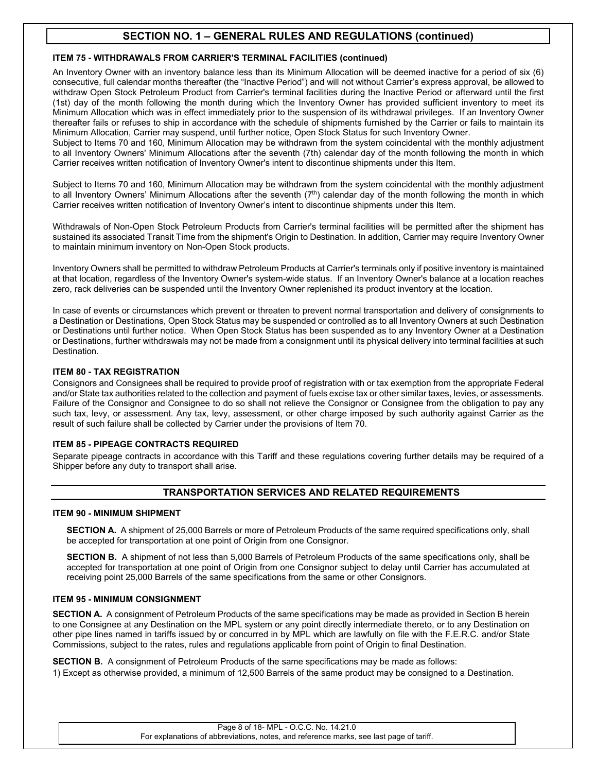## **ITEM 75 - WITHDRAWALS FROM CARRIER'S TERMINAL FACILITIES (continued)**

An Inventory Owner with an inventory balance less than its Minimum Allocation will be deemed inactive for a period of six (6) consecutive, full calendar months thereafter (the "Inactive Period") and will not without Carrier's express approval, be allowed to withdraw Open Stock Petroleum Product from Carrier's terminal facilities during the Inactive Period or afterward until the first (1st) day of the month following the month during which the Inventory Owner has provided sufficient inventory to meet its Minimum Allocation which was in effect immediately prior to the suspension of its withdrawal privileges. If an Inventory Owner thereafter fails or refuses to ship in accordance with the schedule of shipments furnished by the Carrier or fails to maintain its Minimum Allocation, Carrier may suspend, until further notice, Open Stock Status for such Inventory Owner.

Subject to Items 70 and 160, Minimum Allocation may be withdrawn from the system coincidental with the monthly adjustment to all Inventory Owners' Minimum Allocations after the seventh (7th) calendar day of the month following the month in which Carrier receives written notification of Inventory Owner's intent to discontinue shipments under this Item.

Subject to Items 70 and 160, Minimum Allocation may be withdrawn from the system coincidental with the monthly adjustment to all Inventory Owners' Minimum Allocations after the seventh  $(7<sup>th</sup>)$  calendar day of the month following the month in which Carrier receives written notification of Inventory Owner's intent to discontinue shipments under this Item.

Withdrawals of Non-Open Stock Petroleum Products from Carrier's terminal facilities will be permitted after the shipment has sustained its associated Transit Time from the shipment's Origin to Destination. In addition, Carrier may require Inventory Owner to maintain minimum inventory on Non-Open Stock products.

Inventory Owners shall be permitted to withdraw Petroleum Products at Carrier's terminals only if positive inventory is maintained at that location, regardless of the Inventory Owner's system-wide status. If an Inventory Owner's balance at a location reaches zero, rack deliveries can be suspended until the Inventory Owner replenished its product inventory at the location.

In case of events or circumstances which prevent or threaten to prevent normal transportation and delivery of consignments to a Destination or Destinations, Open Stock Status may be suspended or controlled as to all Inventory Owners at such Destination or Destinations until further notice. When Open Stock Status has been suspended as to any Inventory Owner at a Destination or Destinations, further withdrawals may not be made from a consignment until its physical delivery into terminal facilities at such Destination.

## **ITEM 80 - TAX REGISTRATION**

Consignors and Consignees shall be required to provide proof of registration with or tax exemption from the appropriate Federal and/or State tax authorities related to the collection and payment of fuels excise tax or other similar taxes, levies, or assessments. Failure of the Consignor and Consignee to do so shall not relieve the Consignor or Consignee from the obligation to pay any such tax, levy, or assessment. Any tax, levy, assessment, or other charge imposed by such authority against Carrier as the result of such failure shall be collected by Carrier under the provisions of Item 70.

## **ITEM 85 - PIPEAGE CONTRACTS REQUIRED**

Separate pipeage contracts in accordance with this Tariff and these regulations covering further details may be required of a Shipper before any duty to transport shall arise.

## **TRANSPORTATION SERVICES AND RELATED REQUIREMENTS**

## **ITEM 90 - MINIMUM SHIPMENT**

**SECTION A.** A shipment of 25,000 Barrels or more of Petroleum Products of the same required specifications only, shall be accepted for transportation at one point of Origin from one Consignor.

**SECTION B.** A shipment of not less than 5,000 Barrels of Petroleum Products of the same specifications only, shall be accepted for transportation at one point of Origin from one Consignor subject to delay until Carrier has accumulated at receiving point 25,000 Barrels of the same specifications from the same or other Consignors.

## **ITEM 95 - MINIMUM CONSIGNMENT**

**SECTION A.** A consignment of Petroleum Products of the same specifications may be made as provided in Section B herein to one Consignee at any Destination on the MPL system or any point directly intermediate thereto, or to any Destination on other pipe lines named in tariffs issued by or concurred in by MPL which are lawfully on file with the F.E.R.C. and/or State Commissions, subject to the rates, rules and regulations applicable from point of Origin to final Destination.

**SECTION B.** A consignment of Petroleum Products of the same specifications may be made as follows: 1) Except as otherwise provided, a minimum of 12,500 Barrels of the same product may be consigned to a Destination.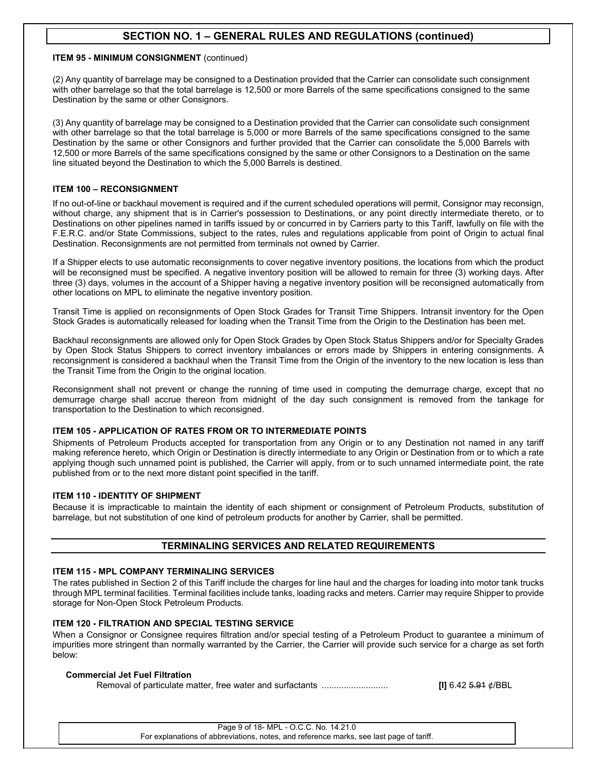## **ITEM 95 - MINIMUM CONSIGNMENT** (continued)

(2) Any quantity of barrelage may be consigned to a Destination provided that the Carrier can consolidate such consignment with other barrelage so that the total barrelage is 12,500 or more Barrels of the same specifications consigned to the same Destination by the same or other Consignors.

(3) Any quantity of barrelage may be consigned to a Destination provided that the Carrier can consolidate such consignment with other barrelage so that the total barrelage is 5,000 or more Barrels of the same specifications consigned to the same Destination by the same or other Consignors and further provided that the Carrier can consolidate the 5,000 Barrels with 12,500 or more Barrels of the same specifications consigned by the same or other Consignors to a Destination on the same line situated beyond the Destination to which the 5,000 Barrels is destined.

## **ITEM 100 – RECONSIGNMENT**

If no out-of-line or backhaul movement is required and if the current scheduled operations will permit, Consignor may reconsign, without charge, any shipment that is in Carrier's possession to Destinations, or any point directly intermediate thereto, or to Destinations on other pipelines named in tariffs issued by or concurred in by Carriers party to this Tariff, lawfully on file with the F.E.R.C. and/or State Commissions, subject to the rates, rules and regulations applicable from point of Origin to actual final Destination. Reconsignments are not permitted from terminals not owned by Carrier.

If a Shipper elects to use automatic reconsignments to cover negative inventory positions, the locations from which the product will be reconsigned must be specified. A negative inventory position will be allowed to remain for three (3) working days. After three (3) days, volumes in the account of a Shipper having a negative inventory position will be reconsigned automatically from other locations on MPL to eliminate the negative inventory position.

Transit Time is applied on reconsignments of Open Stock Grades for Transit Time Shippers. Intransit inventory for the Open Stock Grades is automatically released for loading when the Transit Time from the Origin to the Destination has been met.

Backhaul reconsignments are allowed only for Open Stock Grades by Open Stock Status Shippers and/or for Specialty Grades by Open Stock Status Shippers to correct inventory imbalances or errors made by Shippers in entering consignments. A reconsignment is considered a backhaul when the Transit Time from the Origin of the inventory to the new location is less than the Transit Time from the Origin to the original location.

Reconsignment shall not prevent or change the running of time used in computing the demurrage charge, except that no demurrage charge shall accrue thereon from midnight of the day such consignment is removed from the tankage for transportation to the Destination to which reconsigned.

## **ITEM 105 - APPLICATION OF RATES FROM OR TO INTERMEDIATE POINTS**

Shipments of Petroleum Products accepted for transportation from any Origin or to any Destination not named in any tariff making reference hereto, which Origin or Destination is directly intermediate to any Origin or Destination from or to which a rate applying though such unnamed point is published, the Carrier will apply, from or to such unnamed intermediate point, the rate published from or to the next more distant point specified in the tariff.

## **ITEM 110 - IDENTITY OF SHIPMENT**

Because it is impracticable to maintain the identity of each shipment or consignment of Petroleum Products, substitution of barrelage, but not substitution of one kind of petroleum products for another by Carrier, shall be permitted.

## **TERMINALING SERVICES AND RELATED REQUIREMENTS**

#### **ITEM 115 - MPL COMPANY TERMINALING SERVICES**

The rates published in Section 2 of this Tariff include the charges for line haul and the charges for loading into motor tank trucks through MPL terminal facilities. Terminal facilities include tanks, loading racks and meters. Carrier may require Shipper to provide storage for Non-Open Stock Petroleum Products.

## **ITEM 120 - FILTRATION AND SPECIAL TESTING SERVICE**

When a Consignor or Consignee requires filtration and/or special testing of a Petroleum Product to guarantee a minimum of impurities more stringent than normally warranted by the Carrier, the Carrier will provide such service for a charge as set forth below:

## **Commercial Jet Fuel Filtration**

Removal of particulate matter, free water and surfactants ........................... **[I]** 6.42 5.91 ¢/BBL

Page 9 of 18- MPL - O.C.C. No. 14.21.0 For explanations of abbreviations, notes, and reference marks, see last page of tariff.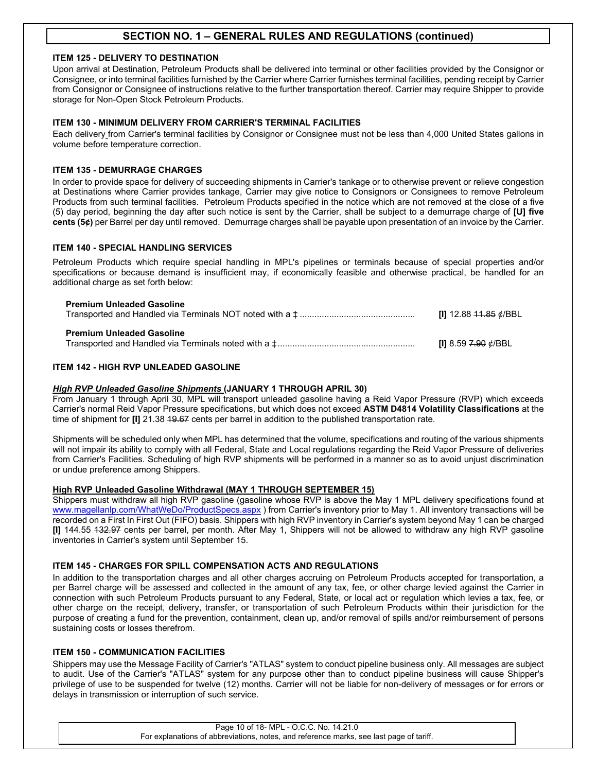## **ITEM 125 - DELIVERY TO DESTINATION**

Upon arrival at Destination, Petroleum Products shall be delivered into terminal or other facilities provided by the Consignor or Consignee, or into terminal facilities furnished by the Carrier where Carrier furnishes terminal facilities, pending receipt by Carrier from Consignor or Consignee of instructions relative to the further transportation thereof. Carrier may require Shipper to provide storage for Non-Open Stock Petroleum Products.

## **ITEM 130 - MINIMUM DELIVERY FROM CARRIER'S TERMINAL FACILITIES**

Each delivery from Carrier's terminal facilities by Consignor or Consignee must not be less than 4,000 United States gallons in volume before temperature correction.

## **ITEM 135 - DEMURRAGE CHARGES**

In order to provide space for delivery of succeeding shipments in Carrier's tankage or to otherwise prevent or relieve congestion at Destinations where Carrier provides tankage, Carrier may give notice to Consignors or Consignees to remove Petroleum Products from such terminal facilities. Petroleum Products specified in the notice which are not removed at the close of a five (5) day period, beginning the day after such notice is sent by the Carrier, shall be subject to a demurrage charge of **[U] five cents (5¢)** per Barrel per day until removed. Demurrage charges shall be payable upon presentation of an invoice by the Carrier.

#### **ITEM 140 - SPECIAL HANDLING SERVICES**

Petroleum Products which require special handling in MPL's pipelines or terminals because of special properties and/or specifications or because demand is insufficient may, if economically feasible and otherwise practical, be handled for an additional charge as set forth below:

| <b>Premium Unleaded Gasoline</b> | [I] 12.88 <del>11.85</del> ¢/BBL |
|----------------------------------|----------------------------------|
| <b>Premium Unleaded Gasoline</b> | [I] 8.59 <del>7.90</del> ¢/BBL   |

## **ITEM 142 - HIGH RVP UNLEADED GASOLINE**

#### *High RVP Unleaded Gasoline Shipments* **(JANUARY 1 THROUGH APRIL 30)**

From January 1 through April 30, MPL will transport unleaded gasoline having a Reid Vapor Pressure (RVP) which exceeds Carrier's normal Reid Vapor Pressure specifications, but which does not exceed **ASTM D4814 Volatility Classifications** at the time of shipment for **[I]** 21.38 49.67 cents per barrel in addition to the published transportation rate.

Shipments will be scheduled only when MPL has determined that the volume, specifications and routing of the various shipments will not impair its ability to comply with all Federal, State and Local regulations regarding the Reid Vapor Pressure of deliveries from Carrier's Facilities. Scheduling of high RVP shipments will be performed in a manner so as to avoid unjust discrimination or undue preference among Shippers.

#### **High RVP Unleaded Gasoline Withdrawal (MAY 1 THROUGH SEPTEMBER 15)**

Shippers must withdraw all high RVP gasoline (gasoline whose RVP is above the May 1 MPL delivery specifications found at [www.magellanlp.com/WhatWeDo/ProductSpecs.aspx](http://www.magellanlp.com/WhatWeDo/ProductSpecs.asp)) from Carrier's inventory prior to May 1. All inventory transactions will be recorded on a First In First Out (FIFO) basis. Shippers with high RVP inventory in Carrier's system beyond May 1 can be charged **[I]** 144.55 132.97 cents per barrel, per month. After May 1, Shippers will not be allowed to withdraw any high RVP gasoline inventories in Carrier's system until September 15.

## **ITEM 145 - CHARGES FOR SPILL COMPENSATION ACTS AND REGULATIONS**

In addition to the transportation charges and all other charges accruing on Petroleum Products accepted for transportation, a per Barrel charge will be assessed and collected in the amount of any tax, fee, or other charge levied against the Carrier in connection with such Petroleum Products pursuant to any Federal, State, or local act or regulation which levies a tax, fee, or other charge on the receipt, delivery, transfer, or transportation of such Petroleum Products within their jurisdiction for the purpose of creating a fund for the prevention, containment, clean up, and/or removal of spills and/or reimbursement of persons sustaining costs or losses therefrom.

### **ITEM 150 - COMMUNICATION FACILITIES**

Shippers may use the Message Facility of Carrier's "ATLAS" system to conduct pipeline business only. All messages are subject to audit. Use of the Carrier's "ATLAS" system for any purpose other than to conduct pipeline business will cause Shipper's privilege of use to be suspended for twelve (12) months. Carrier will not be liable for non-delivery of messages or for errors or delays in transmission or interruption of such service.

> Page 10 of 18- MPL - O.C.C. No. 14.21.0 For explanations of abbreviations, notes, and reference marks, see last page of tariff.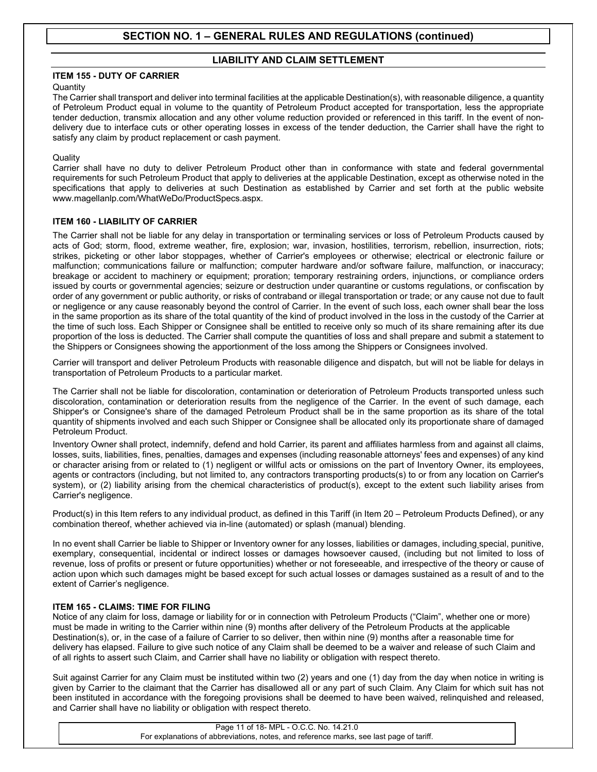## **LIABILITY AND CLAIM SETTLEMENT**

## **ITEM 155 - DUTY OF CARRIER**

## **Quantity**

The Carrier shall transport and deliver into terminal facilities at the applicable Destination(s), with reasonable diligence, a quantity of Petroleum Product equal in volume to the quantity of Petroleum Product accepted for transportation, less the appropriate tender deduction, transmix allocation and any other volume reduction provided or referenced in this tariff. In the event of nondelivery due to interface cuts or other operating losses in excess of the tender deduction, the Carrier shall have the right to satisfy any claim by product replacement or cash payment.

## **Quality**

Carrier shall have no duty to deliver Petroleum Product other than in conformance with state and federal governmental requirements for such Petroleum Product that apply to deliveries at the applicable Destination, except as otherwise noted in the specifications that apply to deliveries at such Destination as established by Carrier and set forth at the public website www.magellanlp.com/WhatWeDo/ProductSpecs.aspx.

## **ITEM 160 - LIABILITY OF CARRIER**

The Carrier shall not be liable for any delay in transportation or terminaling services or loss of Petroleum Products caused by acts of God; storm, flood, extreme weather, fire, explosion; war, invasion, hostilities, terrorism, rebellion, insurrection, riots; strikes, picketing or other labor stoppages, whether of Carrier's employees or otherwise; electrical or electronic failure or malfunction; communications failure or malfunction; computer hardware and/or software failure, malfunction, or inaccuracy; breakage or accident to machinery or equipment; proration; temporary restraining orders, injunctions, or compliance orders issued by courts or governmental agencies; seizure or destruction under quarantine or customs regulations, or confiscation by order of any government or public authority, or risks of contraband or illegal transportation or trade; or any cause not due to fault or negligence or any cause reasonably beyond the control of Carrier. In the event of such loss, each owner shall bear the loss in the same proportion as its share of the total quantity of the kind of product involved in the loss in the custody of the Carrier at the time of such loss. Each Shipper or Consignee shall be entitled to receive only so much of its share remaining after its due proportion of the loss is deducted. The Carrier shall compute the quantities of loss and shall prepare and submit a statement to the Shippers or Consignees showing the apportionment of the loss among the Shippers or Consignees involved.

Carrier will transport and deliver Petroleum Products with reasonable diligence and dispatch, but will not be liable for delays in transportation of Petroleum Products to a particular market.

The Carrier shall not be liable for discoloration, contamination or deterioration of Petroleum Products transported unless such discoloration, contamination or deterioration results from the negligence of the Carrier. In the event of such damage, each Shipper's or Consignee's share of the damaged Petroleum Product shall be in the same proportion as its share of the total quantity of shipments involved and each such Shipper or Consignee shall be allocated only its proportionate share of damaged Petroleum Product.

Inventory Owner shall protect, indemnify, defend and hold Carrier, its parent and affiliates harmless from and against all claims, losses, suits, liabilities, fines, penalties, damages and expenses (including reasonable attorneys' fees and expenses) of any kind or character arising from or related to (1) negligent or willful acts or omissions on the part of Inventory Owner, its employees, agents or contractors (including, but not limited to, any contractors transporting products(s) to or from any location on Carrier's system), or (2) liability arising from the chemical characteristics of product(s), except to the extent such liability arises from Carrier's negligence.

Product(s) in this Item refers to any individual product, as defined in this Tariff (in Item 20 – Petroleum Products Defined), or any combination thereof, whether achieved via in-line (automated) or splash (manual) blending.

In no event shall Carrier be liable to Shipper or Inventory owner for any losses, liabilities or damages, including special, punitive, exemplary, consequential, incidental or indirect losses or damages howsoever caused, (including but not limited to loss of revenue, loss of profits or present or future opportunities) whether or not foreseeable, and irrespective of the theory or cause of action upon which such damages might be based except for such actual losses or damages sustained as a result of and to the extent of Carrier's negligence.

## **ITEM 165 - CLAIMS: TIME FOR FILING**

Notice of any claim for loss, damage or liability for or in connection with Petroleum Products ("Claim", whether one or more) must be made in writing to the Carrier within nine (9) months after delivery of the Petroleum Products at the applicable Destination(s), or, in the case of a failure of Carrier to so deliver, then within nine (9) months after a reasonable time for delivery has elapsed. Failure to give such notice of any Claim shall be deemed to be a waiver and release of such Claim and of all rights to assert such Claim, and Carrier shall have no liability or obligation with respect thereto.

Suit against Carrier for any Claim must be instituted within two (2) years and one (1) day from the day when notice in writing is given by Carrier to the claimant that the Carrier has disallowed all or any part of such Claim. Any Claim for which suit has not been instituted in accordance with the foregoing provisions shall be deemed to have been waived, relinquished and released, and Carrier shall have no liability or obligation with respect thereto.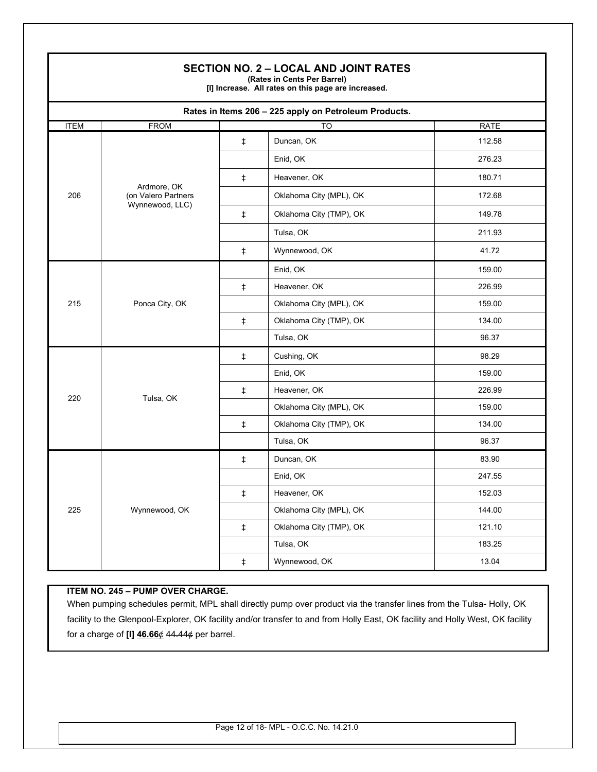|             |                                                       |            | <b>SECTION NO. 2 – LOCAL AND JOINT RATES</b><br>(Rates in Cents Per Barrel)<br>[I] Increase. All rates on this page are increased. |             |
|-------------|-------------------------------------------------------|------------|------------------------------------------------------------------------------------------------------------------------------------|-------------|
|             |                                                       |            | Rates in Items 206 - 225 apply on Petroleum Products.                                                                              |             |
| <b>ITEM</b> | <b>FROM</b>                                           |            | TO                                                                                                                                 | <b>RATE</b> |
|             |                                                       | $\ddagger$ | Duncan, OK                                                                                                                         | 112.58      |
|             |                                                       |            | Enid, OK                                                                                                                           | 276.23      |
|             |                                                       | $\ddagger$ | Heavener, OK                                                                                                                       | 180.71      |
| 206         | Ardmore, OK<br>(on Valero Partners<br>Wynnewood, LLC) |            | Oklahoma City (MPL), OK                                                                                                            | 172.68      |
|             |                                                       | $\ddagger$ | Oklahoma City (TMP), OK                                                                                                            | 149.78      |
|             |                                                       |            | Tulsa, OK                                                                                                                          | 211.93      |
|             |                                                       | $\ddagger$ | Wynnewood, OK                                                                                                                      | 41.72       |
|             | Ponca City, OK                                        |            | Enid, OK                                                                                                                           | 159.00      |
|             |                                                       | $\ddagger$ | Heavener, OK                                                                                                                       | 226.99      |
| 215         |                                                       |            | Oklahoma City (MPL), OK                                                                                                            | 159.00      |
|             |                                                       | $\pm$      | Oklahoma City (TMP), OK                                                                                                            | 134.00      |
|             |                                                       |            | Tulsa, OK                                                                                                                          | 96.37       |
|             | Tulsa, OK                                             | $\ddagger$ | Cushing, OK                                                                                                                        | 98.29       |
|             |                                                       |            | Enid, OK                                                                                                                           | 159.00      |
| 220         |                                                       | $\ddagger$ | Heavener, OK                                                                                                                       | 226.99      |
|             |                                                       |            | Oklahoma City (MPL), OK                                                                                                            | 159.00      |
|             |                                                       | $\ddagger$ | Oklahoma City (TMP), OK                                                                                                            | 134.00      |
|             |                                                       |            | Tulsa, OK                                                                                                                          | 96.37       |
|             |                                                       | $\ddagger$ | Duncan, OK                                                                                                                         | 83.90       |
|             | Wynnewood, OK                                         |            | Enid, OK                                                                                                                           | 247.55      |
|             |                                                       | $\ddagger$ | Heavener, OK                                                                                                                       | 152.03      |
| 225         |                                                       |            | Oklahoma City (MPL), OK                                                                                                            | 144.00      |
|             |                                                       | $\ddagger$ | Oklahoma City (TMP), OK                                                                                                            | 121.10      |
|             |                                                       |            | Tulsa, OK                                                                                                                          | 183.25      |
|             |                                                       | $\ddagger$ | Wynnewood, OK                                                                                                                      | 13.04       |

# **ITEM NO. 245 – PUMP OVER CHARGE.**

L

When pumping schedules permit, MPL shall directly pump over product via the transfer lines from the Tulsa- Holly, OK facility to the Glenpool-Explorer, OK facility and/or transfer to and from Holly East, OK facility and Holly West, OK facility for a charge of **[I] 46.66**¢ 44.44¢ per barrel.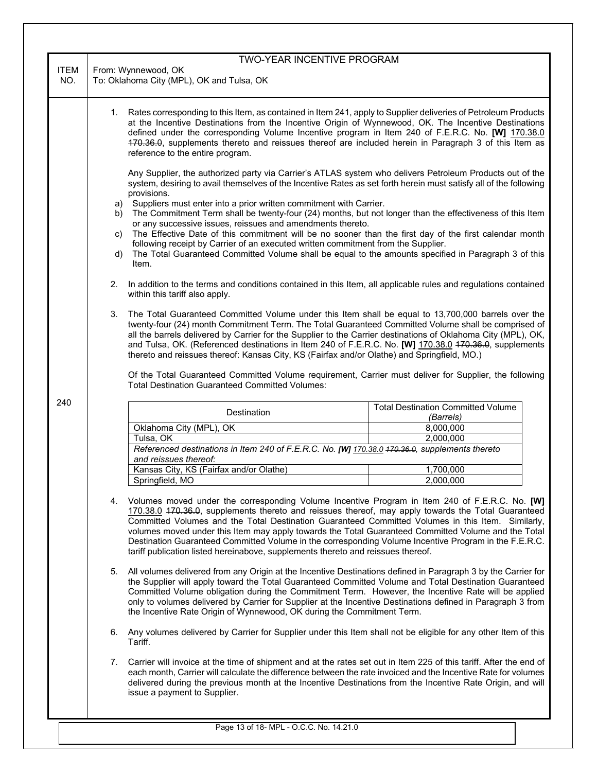|                    | <b>TWO-YEAR INCENTIVE PROGRAM</b>                                                                                                                                                                                                                                                                                                                                                                                                                                                                                                                                                                                    |                                                                                                                                                                                                                                                                                                                                                                                                                 |  |  |
|--------------------|----------------------------------------------------------------------------------------------------------------------------------------------------------------------------------------------------------------------------------------------------------------------------------------------------------------------------------------------------------------------------------------------------------------------------------------------------------------------------------------------------------------------------------------------------------------------------------------------------------------------|-----------------------------------------------------------------------------------------------------------------------------------------------------------------------------------------------------------------------------------------------------------------------------------------------------------------------------------------------------------------------------------------------------------------|--|--|
| <b>ITEM</b><br>NO. | From: Wynnewood, OK<br>To: Oklahoma City (MPL), OK and Tulsa, OK                                                                                                                                                                                                                                                                                                                                                                                                                                                                                                                                                     |                                                                                                                                                                                                                                                                                                                                                                                                                 |  |  |
|                    | 1. Rates corresponding to this Item, as contained in Item 241, apply to Supplier deliveries of Petroleum Products<br>at the Incentive Destinations from the Incentive Origin of Wynnewood, OK. The Incentive Destinations<br>defined under the corresponding Volume Incentive program in Item 240 of F.E.R.C. No. [W] 170.38.0<br>470.36.0, supplements thereto and reissues thereof are included herein in Paragraph 3 of this Item as<br>reference to the entire program.                                                                                                                                          |                                                                                                                                                                                                                                                                                                                                                                                                                 |  |  |
|                    | Any Supplier, the authorized party via Carrier's ATLAS system who delivers Petroleum Products out of the<br>system, desiring to avail themselves of the Incentive Rates as set forth herein must satisfy all of the following<br>provisions.                                                                                                                                                                                                                                                                                                                                                                         |                                                                                                                                                                                                                                                                                                                                                                                                                 |  |  |
|                    | a) Suppliers must enter into a prior written commitment with Carrier.<br>b)<br>or any successive issues, reissues and amendments thereto.<br>C)<br>d)<br>Item.                                                                                                                                                                                                                                                                                                                                                                                                                                                       | The Commitment Term shall be twenty-four (24) months, but not longer than the effectiveness of this Item<br>The Effective Date of this commitment will be no sooner than the first day of the first calendar month<br>following receipt by Carrier of an executed written commitment from the Supplier.<br>The Total Guaranteed Committed Volume shall be equal to the amounts specified in Paragraph 3 of this |  |  |
|                    | In addition to the terms and conditions contained in this Item, all applicable rules and regulations contained<br>2.<br>within this tariff also apply.                                                                                                                                                                                                                                                                                                                                                                                                                                                               |                                                                                                                                                                                                                                                                                                                                                                                                                 |  |  |
|                    | The Total Guaranteed Committed Volume under this Item shall be equal to 13,700,000 barrels over the<br>3.<br>twenty-four (24) month Commitment Term. The Total Guaranteed Committed Volume shall be comprised of<br>all the barrels delivered by Carrier for the Supplier to the Carrier destinations of Oklahoma City (MPL), OK,<br>and Tulsa, OK. (Referenced destinations in Item 240 of F.E.R.C. No. [W] 170.38.0 170.36.0, supplements<br>thereto and reissues thereof: Kansas City, KS (Fairfax and/or Olathe) and Springfield, MO.)                                                                           |                                                                                                                                                                                                                                                                                                                                                                                                                 |  |  |
|                    | Of the Total Guaranteed Committed Volume requirement, Carrier must deliver for Supplier, the following<br><b>Total Destination Guaranteed Committed Volumes:</b>                                                                                                                                                                                                                                                                                                                                                                                                                                                     |                                                                                                                                                                                                                                                                                                                                                                                                                 |  |  |
| 240                | Destination                                                                                                                                                                                                                                                                                                                                                                                                                                                                                                                                                                                                          | <b>Total Destination Committed Volume</b><br>(Barrels)                                                                                                                                                                                                                                                                                                                                                          |  |  |
|                    | Oklahoma City (MPL), OK<br>8,000,000                                                                                                                                                                                                                                                                                                                                                                                                                                                                                                                                                                                 |                                                                                                                                                                                                                                                                                                                                                                                                                 |  |  |
|                    | 2,000,000<br>Tulsa, OK                                                                                                                                                                                                                                                                                                                                                                                                                                                                                                                                                                                               |                                                                                                                                                                                                                                                                                                                                                                                                                 |  |  |
|                    | Referenced destinations in Item 240 of F.E.R.C. No. [W] 170.38.0 470.36.0, supplements thereto<br>and reissues thereof:                                                                                                                                                                                                                                                                                                                                                                                                                                                                                              |                                                                                                                                                                                                                                                                                                                                                                                                                 |  |  |
|                    | Kansas City, KS (Fairfax and/or Olathe)<br>1,700,000                                                                                                                                                                                                                                                                                                                                                                                                                                                                                                                                                                 |                                                                                                                                                                                                                                                                                                                                                                                                                 |  |  |
|                    | 2,000,000<br>Springfield, MO                                                                                                                                                                                                                                                                                                                                                                                                                                                                                                                                                                                         |                                                                                                                                                                                                                                                                                                                                                                                                                 |  |  |
|                    | Volumes moved under the corresponding Volume Incentive Program in Item 240 of F.E.R.C. No. [W]<br>4.<br>170.38.0 470.36.0, supplements thereto and reissues thereof, may apply towards the Total Guaranteed<br>Committed Volumes and the Total Destination Guaranteed Committed Volumes in this Item. Similarly,<br>volumes moved under this Item may apply towards the Total Guaranteed Committed Volume and the Total<br>Destination Guaranteed Committed Volume in the corresponding Volume Incentive Program in the F.E.R.C.<br>tariff publication listed hereinabove, supplements thereto and reissues thereof. |                                                                                                                                                                                                                                                                                                                                                                                                                 |  |  |
|                    | All volumes delivered from any Origin at the Incentive Destinations defined in Paragraph 3 by the Carrier for<br>5.<br>the Supplier will apply toward the Total Guaranteed Committed Volume and Total Destination Guaranteed<br>Committed Volume obligation during the Commitment Term. However, the Incentive Rate will be applied<br>only to volumes delivered by Carrier for Supplier at the Incentive Destinations defined in Paragraph 3 from<br>the Incentive Rate Origin of Wynnewood, OK during the Commitment Term.                                                                                         |                                                                                                                                                                                                                                                                                                                                                                                                                 |  |  |
|                    | Any volumes delivered by Carrier for Supplier under this Item shall not be eligible for any other Item of this<br>6.<br>Tariff.                                                                                                                                                                                                                                                                                                                                                                                                                                                                                      |                                                                                                                                                                                                                                                                                                                                                                                                                 |  |  |
|                    | Carrier will invoice at the time of shipment and at the rates set out in Item 225 of this tariff. After the end of<br>7.<br>each month, Carrier will calculate the difference between the rate invoiced and the Incentive Rate for volumes<br>delivered during the previous month at the Incentive Destinations from the Incentive Rate Origin, and will<br>issue a payment to Supplier.                                                                                                                                                                                                                             |                                                                                                                                                                                                                                                                                                                                                                                                                 |  |  |
|                    |                                                                                                                                                                                                                                                                                                                                                                                                                                                                                                                                                                                                                      |                                                                                                                                                                                                                                                                                                                                                                                                                 |  |  |
|                    | Page 13 of 18- MPL - O.C.C. No. 14.21.0                                                                                                                                                                                                                                                                                                                                                                                                                                                                                                                                                                              |                                                                                                                                                                                                                                                                                                                                                                                                                 |  |  |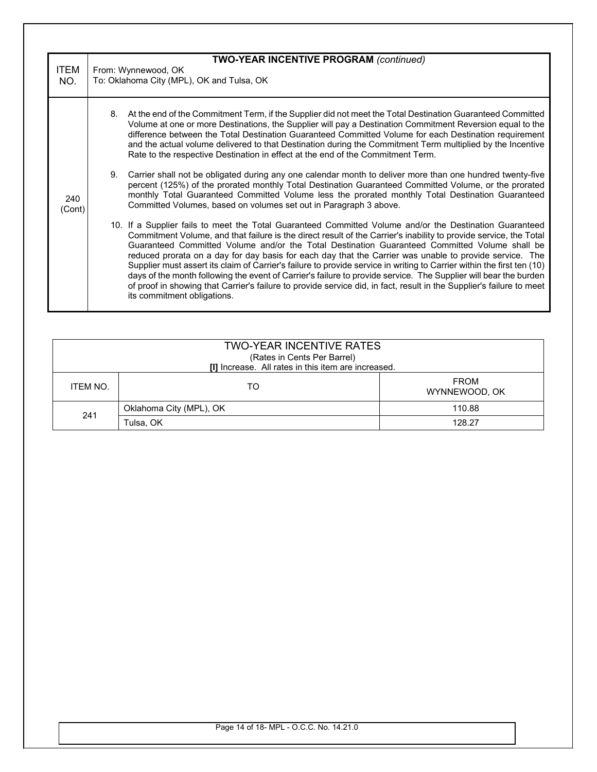| <b>ITEM</b><br>NO. | <b>TWO-YEAR INCENTIVE PROGRAM (continued)</b><br>From: Wynnewood, OK<br>To: Oklahoma City (MPL), OK and Tulsa, OK |                                                                                                                                                                                                                                                                                                                                                                                                                                                                                                                                                                                                                                                                                                                                                                                                                                               |  |
|--------------------|-------------------------------------------------------------------------------------------------------------------|-----------------------------------------------------------------------------------------------------------------------------------------------------------------------------------------------------------------------------------------------------------------------------------------------------------------------------------------------------------------------------------------------------------------------------------------------------------------------------------------------------------------------------------------------------------------------------------------------------------------------------------------------------------------------------------------------------------------------------------------------------------------------------------------------------------------------------------------------|--|
|                    | 8.                                                                                                                | At the end of the Commitment Term, if the Supplier did not meet the Total Destination Guaranteed Committed<br>Volume at one or more Destinations, the Supplier will pay a Destination Commitment Reversion equal to the<br>difference between the Total Destination Guaranteed Committed Volume for each Destination requirement<br>and the actual volume delivered to that Destination during the Commitment Term multiplied by the Incentive<br>Rate to the respective Destination in effect at the end of the Commitment Term.                                                                                                                                                                                                                                                                                                             |  |
| 240<br>(Cont)      | 9.                                                                                                                | Carrier shall not be obligated during any one calendar month to deliver more than one hundred twenty-five<br>percent (125%) of the prorated monthly Total Destination Guaranteed Committed Volume, or the prorated<br>monthly Total Guaranteed Committed Volume less the prorated monthly Total Destination Guaranteed<br>Committed Volumes, based on volumes set out in Paragraph 3 above.                                                                                                                                                                                                                                                                                                                                                                                                                                                   |  |
|                    |                                                                                                                   | 10. If a Supplier fails to meet the Total Guaranteed Committed Volume and/or the Destination Guaranteed<br>Commitment Volume, and that failure is the direct result of the Carrier's inability to provide service, the Total<br>Guaranteed Committed Volume and/or the Total Destination Guaranteed Committed Volume shall be<br>reduced prorata on a day for day basis for each day that the Carrier was unable to provide service. The<br>Supplier must assert its claim of Carrier's failure to provide service in writing to Carrier within the first ten (10)<br>days of the month following the event of Carrier's failure to provide service. The Supplier will bear the burden<br>of proof in showing that Carrier's failure to provide service did, in fact, result in the Supplier's failure to meet<br>its commitment obligations. |  |

|          | <b>TWO-YEAR INCENTIVE RATES</b><br>(Rates in Cents Per Barrel)<br>[I] Increase. All rates in this item are increased. |                              |
|----------|-----------------------------------------------------------------------------------------------------------------------|------------------------------|
| ITEM NO. | TO                                                                                                                    | <b>FROM</b><br>WYNNEWOOD, OK |
| 241      | Oklahoma City (MPL), OK                                                                                               | 110.88                       |
|          | Tulsa, OK                                                                                                             | 128.27                       |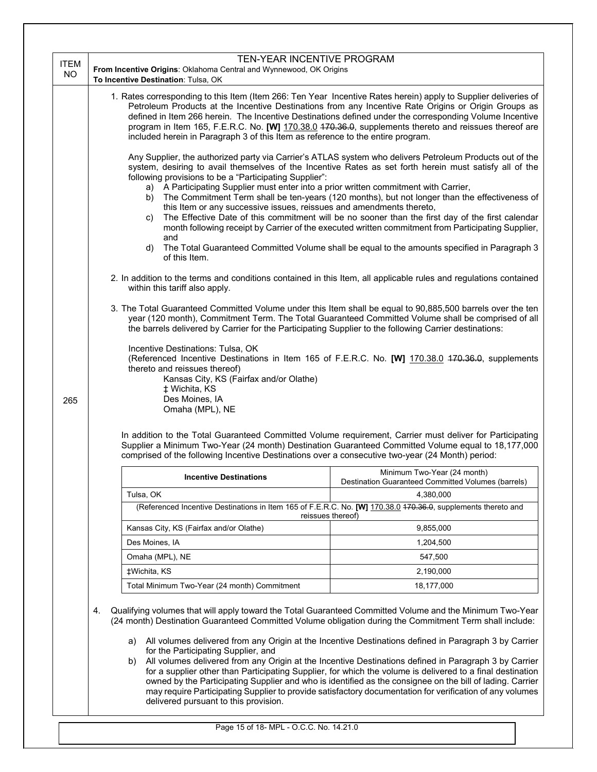|                          | TEN-YEAR INCENTIVE PROGRAM                                                                                                                                                                                                                                                                                                                                                                                                                                                                                                                                                                                                                                                                                                                                                                                                                                                                                                                                                                                                                                                                                                                                                                                                                                                 |  |  |
|--------------------------|----------------------------------------------------------------------------------------------------------------------------------------------------------------------------------------------------------------------------------------------------------------------------------------------------------------------------------------------------------------------------------------------------------------------------------------------------------------------------------------------------------------------------------------------------------------------------------------------------------------------------------------------------------------------------------------------------------------------------------------------------------------------------------------------------------------------------------------------------------------------------------------------------------------------------------------------------------------------------------------------------------------------------------------------------------------------------------------------------------------------------------------------------------------------------------------------------------------------------------------------------------------------------|--|--|
| <b>ITEM</b><br><b>NO</b> | From Incentive Origins: Oklahoma Central and Wynnewood, OK Origins                                                                                                                                                                                                                                                                                                                                                                                                                                                                                                                                                                                                                                                                                                                                                                                                                                                                                                                                                                                                                                                                                                                                                                                                         |  |  |
|                          | To Incentive Destination: Tulsa, OK                                                                                                                                                                                                                                                                                                                                                                                                                                                                                                                                                                                                                                                                                                                                                                                                                                                                                                                                                                                                                                                                                                                                                                                                                                        |  |  |
|                          | 1. Rates corresponding to this Item (Item 266: Ten Year Incentive Rates herein) apply to Supplier deliveries of<br>Petroleum Products at the Incentive Destinations from any Incentive Rate Origins or Origin Groups as<br>defined in Item 266 herein. The Incentive Destinations defined under the corresponding Volume Incentive<br>program in Item 165, F.E.R.C. No. [W] 170.38.0 470.36.0, supplements thereto and reissues thereof are<br>included herein in Paragraph 3 of this Item as reference to the entire program.                                                                                                                                                                                                                                                                                                                                                                                                                                                                                                                                                                                                                                                                                                                                             |  |  |
|                          | Any Supplier, the authorized party via Carrier's ATLAS system who delivers Petroleum Products out of the<br>system, desiring to avail themselves of the Incentive Rates as set forth herein must satisfy all of the<br>following provisions to be a "Participating Supplier":<br>a) A Participating Supplier must enter into a prior written commitment with Carrier,<br>b) The Commitment Term shall be ten-years (120 months), but not longer than the effectiveness of<br>this Item or any successive issues, reissues and amendments thereto,<br>The Effective Date of this commitment will be no sooner than the first day of the first calendar<br>C)<br>month following receipt by Carrier of the executed written commitment from Participating Supplier,<br>and<br>The Total Guaranteed Committed Volume shall be equal to the amounts specified in Paragraph 3<br>d)<br>of this Item.<br>2. In addition to the terms and conditions contained in this Item, all applicable rules and regulations contained<br>within this tariff also apply.<br>3. The Total Guaranteed Committed Volume under this Item shall be equal to 90,885,500 barrels over the ten<br>year (120 month), Commitment Term. The Total Guaranteed Committed Volume shall be comprised of all |  |  |
| 265                      | the barrels delivered by Carrier for the Participating Supplier to the following Carrier destinations:<br>Incentive Destinations: Tulsa, OK<br>(Referenced Incentive Destinations in Item 165 of F.E.R.C. No. [W] 170.38.0 470.36.0, supplements<br>thereto and reissues thereof)<br>Kansas City, KS (Fairfax and/or Olathe)<br>‡ Wichita, KS<br>Des Moines, IA<br>Omaha (MPL), NE                                                                                                                                                                                                                                                                                                                                                                                                                                                                                                                                                                                                                                                                                                                                                                                                                                                                                         |  |  |
|                          | In addition to the Total Guaranteed Committed Volume requirement, Carrier must deliver for Participating<br>Supplier a Minimum Two-Year (24 month) Destination Guaranteed Committed Volume equal to 18,177,000<br>comprised of the following Incentive Destinations over a consecutive two-year (24 Month) period:                                                                                                                                                                                                                                                                                                                                                                                                                                                                                                                                                                                                                                                                                                                                                                                                                                                                                                                                                         |  |  |
|                          | Minimum Two-Year (24 month)<br><b>Incentive Destinations</b><br>Destination Guaranteed Committed Volumes (barrels)                                                                                                                                                                                                                                                                                                                                                                                                                                                                                                                                                                                                                                                                                                                                                                                                                                                                                                                                                                                                                                                                                                                                                         |  |  |
|                          | Tulsa, OK<br>4,380,000                                                                                                                                                                                                                                                                                                                                                                                                                                                                                                                                                                                                                                                                                                                                                                                                                                                                                                                                                                                                                                                                                                                                                                                                                                                     |  |  |
|                          | (Referenced Incentive Destinations in Item 165 of F.E.R.C. No. [W] 170.38.0 470.36.0, supplements thereto and<br>reissues thereof)                                                                                                                                                                                                                                                                                                                                                                                                                                                                                                                                                                                                                                                                                                                                                                                                                                                                                                                                                                                                                                                                                                                                         |  |  |
|                          | Kansas City, KS (Fairfax and/or Olathe)<br>9,855,000                                                                                                                                                                                                                                                                                                                                                                                                                                                                                                                                                                                                                                                                                                                                                                                                                                                                                                                                                                                                                                                                                                                                                                                                                       |  |  |
|                          | Des Moines, IA<br>1,204,500                                                                                                                                                                                                                                                                                                                                                                                                                                                                                                                                                                                                                                                                                                                                                                                                                                                                                                                                                                                                                                                                                                                                                                                                                                                |  |  |
|                          | Omaha (MPL), NE<br>547,500                                                                                                                                                                                                                                                                                                                                                                                                                                                                                                                                                                                                                                                                                                                                                                                                                                                                                                                                                                                                                                                                                                                                                                                                                                                 |  |  |
|                          | ‡Wichita, KS<br>2,190,000                                                                                                                                                                                                                                                                                                                                                                                                                                                                                                                                                                                                                                                                                                                                                                                                                                                                                                                                                                                                                                                                                                                                                                                                                                                  |  |  |
|                          | Total Minimum Two-Year (24 month) Commitment<br>18,177,000                                                                                                                                                                                                                                                                                                                                                                                                                                                                                                                                                                                                                                                                                                                                                                                                                                                                                                                                                                                                                                                                                                                                                                                                                 |  |  |
|                          | Qualifying volumes that will apply toward the Total Guaranteed Committed Volume and the Minimum Two-Year<br>4.<br>(24 month) Destination Guaranteed Committed Volume obligation during the Commitment Term shall include:<br>All volumes delivered from any Origin at the Incentive Destinations defined in Paragraph 3 by Carrier<br>a)<br>for the Participating Supplier, and<br>All volumes delivered from any Origin at the Incentive Destinations defined in Paragraph 3 by Carrier<br>b)<br>for a supplier other than Participating Supplier, for which the volume is delivered to a final destination<br>owned by the Participating Supplier and who is identified as the consignee on the bill of lading. Carrier<br>may require Participating Supplier to provide satisfactory documentation for verification of any volumes                                                                                                                                                                                                                                                                                                                                                                                                                                      |  |  |
|                          | delivered pursuant to this provision.                                                                                                                                                                                                                                                                                                                                                                                                                                                                                                                                                                                                                                                                                                                                                                                                                                                                                                                                                                                                                                                                                                                                                                                                                                      |  |  |

Page 15 of 18- MPL - O.C.C. No. 14.21.0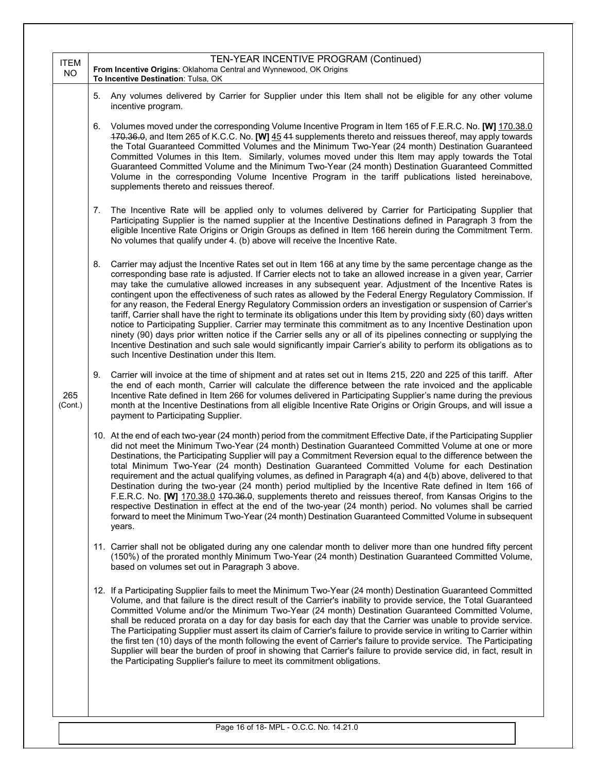| <b>ITEM</b><br><b>NO</b> | TEN-YEAR INCENTIVE PROGRAM (Continued)<br>From Incentive Origins: Oklahoma Central and Wynnewood, OK Origins<br>To Incentive Destination: Tulsa, OK                                                                                                                                                                                                                                                                                                                                                                                                                                                                                                                                                                                                                                                                                                                                                                                                                                                                                                                                                             |
|--------------------------|-----------------------------------------------------------------------------------------------------------------------------------------------------------------------------------------------------------------------------------------------------------------------------------------------------------------------------------------------------------------------------------------------------------------------------------------------------------------------------------------------------------------------------------------------------------------------------------------------------------------------------------------------------------------------------------------------------------------------------------------------------------------------------------------------------------------------------------------------------------------------------------------------------------------------------------------------------------------------------------------------------------------------------------------------------------------------------------------------------------------|
|                          | Any volumes delivered by Carrier for Supplier under this Item shall not be eligible for any other volume<br>5.<br>incentive program.                                                                                                                                                                                                                                                                                                                                                                                                                                                                                                                                                                                                                                                                                                                                                                                                                                                                                                                                                                            |
|                          | Volumes moved under the corresponding Volume Incentive Program in Item 165 of F.E.R.C. No. [W] 170.38.0<br>6.<br>470.36.0, and Item 265 of K.C.C. No. [W] 45 44 supplements thereto and reissues thereof, may apply towards<br>the Total Guaranteed Committed Volumes and the Minimum Two-Year (24 month) Destination Guaranteed<br>Committed Volumes in this Item. Similarly, volumes moved under this Item may apply towards the Total<br>Guaranteed Committed Volume and the Minimum Two-Year (24 month) Destination Guaranteed Committed<br>Volume in the corresponding Volume Incentive Program in the tariff publications listed hereinabove,<br>supplements thereto and reissues thereof.                                                                                                                                                                                                                                                                                                                                                                                                                |
|                          | The Incentive Rate will be applied only to volumes delivered by Carrier for Participating Supplier that<br>7.<br>Participating Supplier is the named supplier at the Incentive Destinations defined in Paragraph 3 from the<br>eligible Incentive Rate Origins or Origin Groups as defined in Item 166 herein during the Commitment Term.<br>No volumes that qualify under 4. (b) above will receive the Incentive Rate.                                                                                                                                                                                                                                                                                                                                                                                                                                                                                                                                                                                                                                                                                        |
|                          | 8.<br>Carrier may adjust the Incentive Rates set out in Item 166 at any time by the same percentage change as the<br>corresponding base rate is adjusted. If Carrier elects not to take an allowed increase in a given year, Carrier<br>may take the cumulative allowed increases in any subsequent year. Adjustment of the Incentive Rates is<br>contingent upon the effectiveness of such rates as allowed by the Federal Energy Regulatory Commission. If<br>for any reason, the Federal Energy Regulatory Commission orders an investigation or suspension of Carrier's<br>tariff, Carrier shall have the right to terminate its obligations under this Item by providing sixty (60) days written<br>notice to Participating Supplier. Carrier may terminate this commitment as to any Incentive Destination upon<br>ninety (90) days prior written notice if the Carrier sells any or all of its pipelines connecting or supplying the<br>Incentive Destination and such sale would significantly impair Carrier's ability to perform its obligations as to<br>such Incentive Destination under this Item. |
| 265<br>(Cont.)           | 9.<br>Carrier will invoice at the time of shipment and at rates set out in Items 215, 220 and 225 of this tariff. After<br>the end of each month, Carrier will calculate the difference between the rate invoiced and the applicable<br>Incentive Rate defined in Item 266 for volumes delivered in Participating Supplier's name during the previous<br>month at the Incentive Destinations from all eligible Incentive Rate Origins or Origin Groups, and will issue a<br>payment to Participating Supplier.                                                                                                                                                                                                                                                                                                                                                                                                                                                                                                                                                                                                  |
|                          | 10. At the end of each two-year (24 month) period from the commitment Effective Date, if the Participating Supplier<br>did not meet the Minimum Two-Year (24 month) Destination Guaranteed Committed Volume at one or more<br>Destinations, the Participating Supplier will pay a Commitment Reversion equal to the difference between the<br>total Minimum Two-Year (24 month) Destination Guaranteed Committed Volume for each Destination<br>requirement and the actual qualifying volumes, as defined in Paragraph 4(a) and 4(b) above, delivered to that<br>Destination during the two-year (24 month) period multiplied by the Incentive Rate defined in Item 166 of<br>F.E.R.C. No. [W] 170.38.0 470.36.0, supplements thereto and reissues thereof, from Kansas Origins to the<br>respective Destination in effect at the end of the two-year (24 month) period. No volumes shall be carried<br>forward to meet the Minimum Two-Year (24 month) Destination Guaranteed Committed Volume in subsequent<br>years.                                                                                         |
|                          | 11. Carrier shall not be obligated during any one calendar month to deliver more than one hundred fifty percent<br>(150%) of the prorated monthly Minimum Two-Year (24 month) Destination Guaranteed Committed Volume,<br>based on volumes set out in Paragraph 3 above.                                                                                                                                                                                                                                                                                                                                                                                                                                                                                                                                                                                                                                                                                                                                                                                                                                        |
|                          | 12. If a Participating Supplier fails to meet the Minimum Two-Year (24 month) Destination Guaranteed Committed<br>Volume, and that failure is the direct result of the Carrier's inability to provide service, the Total Guaranteed<br>Committed Volume and/or the Minimum Two-Year (24 month) Destination Guaranteed Committed Volume,<br>shall be reduced prorata on a day for day basis for each day that the Carrier was unable to provide service.<br>The Participating Supplier must assert its claim of Carrier's failure to provide service in writing to Carrier within<br>the first ten (10) days of the month following the event of Carrier's failure to provide service. The Participating<br>Supplier will bear the burden of proof in showing that Carrier's failure to provide service did, in fact, result in<br>the Participating Supplier's failure to meet its commitment obligations.                                                                                                                                                                                                      |
|                          | Page 16 of 18- MPL - O.C.C. No. 14.21.0                                                                                                                                                                                                                                                                                                                                                                                                                                                                                                                                                                                                                                                                                                                                                                                                                                                                                                                                                                                                                                                                         |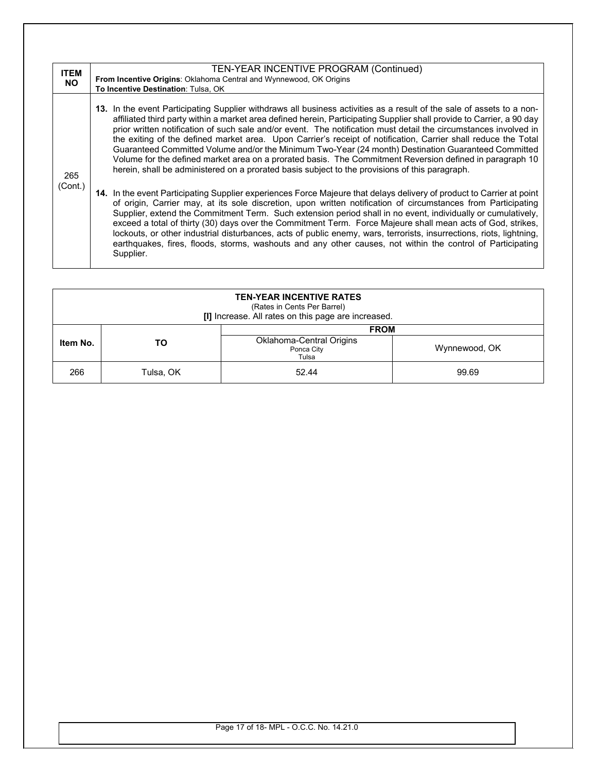| <b>ITEM</b><br><b>NO</b> | TEN-YEAR INCENTIVE PROGRAM (Continued)<br>From Incentive Origins: Oklahoma Central and Wynnewood, OK Origins<br>To Incentive Destination: Tulsa, OK                                                                                                                                                                                                                                                                                                                                                                                                                                                                                                                                                                                                                                                       |
|--------------------------|-----------------------------------------------------------------------------------------------------------------------------------------------------------------------------------------------------------------------------------------------------------------------------------------------------------------------------------------------------------------------------------------------------------------------------------------------------------------------------------------------------------------------------------------------------------------------------------------------------------------------------------------------------------------------------------------------------------------------------------------------------------------------------------------------------------|
| 265                      | 13. In the event Participating Supplier withdraws all business activities as a result of the sale of assets to a non-<br>affiliated third party within a market area defined herein, Participating Supplier shall provide to Carrier, a 90 day<br>prior written notification of such sale and/or event. The notification must detail the circumstances involved in<br>the exiting of the defined market area. Upon Carrier's receipt of notification, Carrier shall reduce the Total<br>Guaranteed Committed Volume and/or the Minimum Two-Year (24 month) Destination Guaranteed Committed<br>Volume for the defined market area on a prorated basis. The Commitment Reversion defined in paragraph 10<br>herein, shall be administered on a prorated basis subject to the provisions of this paragraph. |
| (Cont.)                  | 14. In the event Participating Supplier experiences Force Majeure that delays delivery of product to Carrier at point<br>of origin, Carrier may, at its sole discretion, upon written notification of circumstances from Participating<br>Supplier, extend the Commitment Term. Such extension period shall in no event, individually or cumulatively,<br>exceed a total of thirty (30) days over the Commitment Term. Force Majeure shall mean acts of God, strikes,<br>lockouts, or other industrial disturbances, acts of public enemy, wars, terrorists, insurrections, riots, lightning,<br>earthquakes, fires, floods, storms, washouts and any other causes, not within the control of Participating<br>Supplier.                                                                                  |

| <b>TEN-YEAR INCENTIVE RATES</b><br>(Rates in Cents Per Barrel)<br>[I] Increase. All rates on this page are increased. |           |                                                                |               |  |
|-----------------------------------------------------------------------------------------------------------------------|-----------|----------------------------------------------------------------|---------------|--|
| Item No.                                                                                                              | ΤО        | <b>FROM</b><br>Oklahoma-Central Origins<br>Ponca City<br>Tulsa | Wynnewood, OK |  |
| 266                                                                                                                   | Tulsa, OK | 52.44                                                          | 99.69         |  |